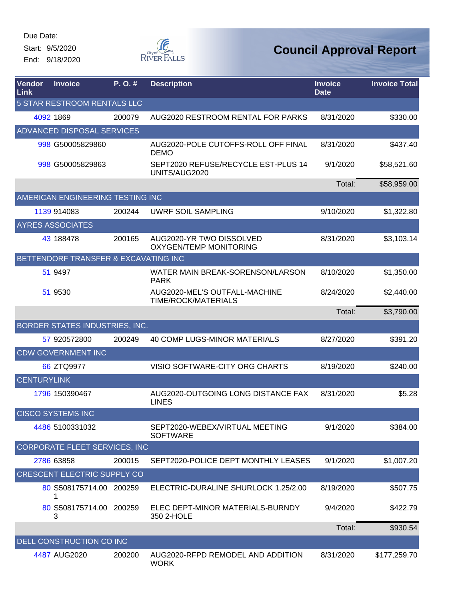Start: 9/5/2020 End: 9/18/2020



| Vendor<br>Link     | <b>Invoice</b>                       | P.O.#  | <b>Description</b>                                        | <b>Invoice</b><br><b>Date</b> | <b>Invoice Total</b> |
|--------------------|--------------------------------------|--------|-----------------------------------------------------------|-------------------------------|----------------------|
|                    | <b>5 STAR RESTROOM RENTALS LLC</b>   |        |                                                           |                               |                      |
|                    | 4092 1869                            | 200079 | AUG2020 RESTROOM RENTAL FOR PARKS                         | 8/31/2020                     | \$330.00             |
|                    | <b>ADVANCED DISPOSAL SERVICES</b>    |        |                                                           |                               |                      |
|                    | 998 G50005829860                     |        | AUG2020-POLE CUTOFFS-ROLL OFF FINAL<br><b>DEMO</b>        | 8/31/2020                     | \$437.40             |
|                    | 998 G50005829863                     |        | SEPT2020 REFUSE/RECYCLE EST-PLUS 14<br>UNITS/AUG2020      | 9/1/2020                      | \$58,521.60          |
|                    |                                      |        |                                                           | Total:                        | \$58,959.00          |
|                    | AMERICAN ENGINEERING TESTING INC     |        |                                                           |                               |                      |
|                    | 1139 914083                          | 200244 | UWRF SOIL SAMPLING                                        | 9/10/2020                     | \$1,322.80           |
|                    | <b>AYRES ASSOCIATES</b>              |        |                                                           |                               |                      |
|                    | 43 188478                            | 200165 | AUG2020-YR TWO DISSOLVED<br><b>OXYGEN/TEMP MONITORING</b> | 8/31/2020                     | \$3,103.14           |
|                    | BETTENDORF TRANSFER & EXCAVATING INC |        |                                                           |                               |                      |
|                    | 51 9497                              |        | WATER MAIN BREAK-SORENSON/LARSON<br><b>PARK</b>           | 8/10/2020                     | \$1,350.00           |
|                    | 51 9530                              |        | AUG2020-MEL'S OUTFALL-MACHINE<br>TIME/ROCK/MATERIALS      | 8/24/2020                     | \$2,440.00           |
|                    |                                      |        |                                                           | Total:                        | \$3,790.00           |
|                    | BORDER STATES INDUSTRIES, INC.       |        |                                                           |                               |                      |
|                    | 57 920572800                         | 200249 | 40 COMP LUGS-MINOR MATERIALS                              | 8/27/2020                     | \$391.20             |
|                    | <b>CDW GOVERNMENT INC</b>            |        |                                                           |                               |                      |
|                    | 66 ZTQ9977                           |        | VISIO SOFTWARE-CITY ORG CHARTS                            | 8/19/2020                     | \$240.00             |
| <b>CENTURYLINK</b> |                                      |        |                                                           |                               |                      |
|                    | 1796 150390467                       |        | AUG2020-OUTGOING LONG DISTANCE FAX<br><b>LINES</b>        | 8/31/2020                     | \$5.28               |
|                    | <b>CISCO SYSTEMS INC</b>             |        |                                                           |                               |                      |
|                    | 4486 5100331032                      |        | SEPT2020-WEBEX/VIRTUAL MEETING<br><b>SOFTWARE</b>         | 9/1/2020                      | \$384.00             |
|                    | CORPORATE FLEET SERVICES, INC        |        |                                                           |                               |                      |
|                    | 2786 63858                           | 200015 | SEPT2020-POLICE DEPT MONTHLY LEASES                       | 9/1/2020                      | \$1,007.20           |
|                    | <b>CRESCENT ELECTRIC SUPPLY CO</b>   |        |                                                           |                               |                      |
|                    | 80 S508175714.00 200259              |        | ELECTRIC-DURALINE SHURLOCK 1.25/2.00                      | 8/19/2020                     | \$507.75             |
|                    | 80 S508175714.00 200259<br>3         |        | ELEC DEPT-MINOR MATERIALS-BURNDY<br>350 2-HOLE            | 9/4/2020                      | \$422.79             |
|                    |                                      |        |                                                           | Total:                        | \$930.54             |
|                    | DELL CONSTRUCTION CO INC             |        |                                                           |                               |                      |
|                    | 4487 AUG2020                         | 200200 | AUG2020-RFPD REMODEL AND ADDITION<br><b>WORK</b>          | 8/31/2020                     | \$177,259.70         |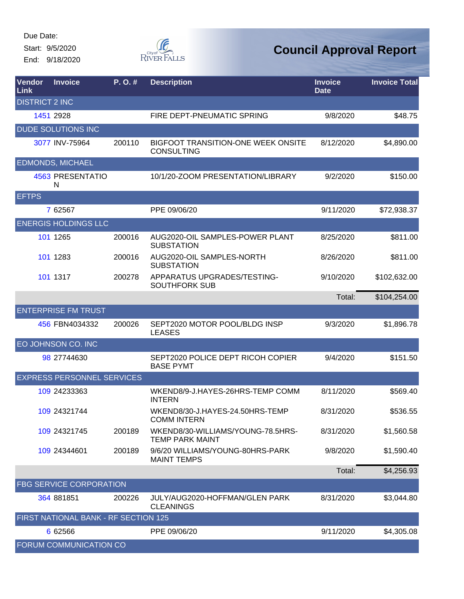Start: 9/5/2020

End: 9/18/2020



| Vendor<br>Link        | <b>Invoice</b>                       | P. O. # | <b>Description</b>                                          | <b>Invoice</b><br><b>Date</b> | <b>Invoice Total</b> |
|-----------------------|--------------------------------------|---------|-------------------------------------------------------------|-------------------------------|----------------------|
| <b>DISTRICT 2 INC</b> |                                      |         |                                                             |                               |                      |
|                       | 1451 2928                            |         | FIRE DEPT-PNEUMATIC SPRING                                  | 9/8/2020                      | \$48.75              |
|                       | <b>DUDE SOLUTIONS INC</b>            |         |                                                             |                               |                      |
|                       | 3077 INV-75964                       | 200110  | BIGFOOT TRANSITION-ONE WEEK ONSITE<br><b>CONSULTING</b>     | 8/12/2020                     | \$4,890.00           |
|                       | <b>EDMONDS, MICHAEL</b>              |         |                                                             |                               |                      |
|                       | 4563 PRESENTATIO<br>N                |         | 10/1/20-ZOOM PRESENTATION/LIBRARY                           | 9/2/2020                      | \$150.00             |
| <b>EFTPS</b>          |                                      |         |                                                             |                               |                      |
|                       | 7 62567                              |         | PPE 09/06/20                                                | 9/11/2020                     | \$72,938.37          |
|                       | <b>ENERGIS HOLDINGS LLC</b>          |         |                                                             |                               |                      |
|                       | 101 1265                             | 200016  | AUG2020-OIL SAMPLES-POWER PLANT<br><b>SUBSTATION</b>        | 8/25/2020                     | \$811.00             |
|                       | 101 1283                             | 200016  | AUG2020-OIL SAMPLES-NORTH<br><b>SUBSTATION</b>              | 8/26/2020                     | \$811.00             |
|                       | 101 1317                             | 200278  | APPARATUS UPGRADES/TESTING-<br><b>SOUTHFORK SUB</b>         | 9/10/2020                     | \$102,632.00         |
|                       |                                      |         |                                                             | Total:                        | \$104,254.00         |
|                       | <b>ENTERPRISE FM TRUST</b>           |         |                                                             |                               |                      |
|                       | 456 FBN4034332                       | 200026  | SEPT2020 MOTOR POOL/BLDG INSP<br><b>LEASES</b>              | 9/3/2020                      | \$1,896.78           |
|                       | EO JOHNSON CO. INC                   |         |                                                             |                               |                      |
|                       | 98 27744630                          |         | SEPT2020 POLICE DEPT RICOH COPIER<br><b>BASE PYMT</b>       | 9/4/2020                      | \$151.50             |
|                       | <b>EXPRESS PERSONNEL SERVICES</b>    |         |                                                             |                               |                      |
|                       | 109 24233363                         |         | WKEND8/9-J.HAYES-26HRS-TEMP COMM<br><b>INTERN</b>           | 8/11/2020                     | \$569.40             |
|                       | 109 24321744                         |         | WKEND8/30-J.HAYES-24.50HRS-TEMP<br><b>COMM INTERN</b>       | 8/31/2020                     | \$536.55             |
|                       | 109 24321745                         | 200189  | WKEND8/30-WILLIAMS/YOUNG-78.5HRS-<br><b>TEMP PARK MAINT</b> | 8/31/2020                     | \$1,560.58           |
|                       | 109 24344601                         | 200189  | 9/6/20 WILLIAMS/YOUNG-80HRS-PARK<br><b>MAINT TEMPS</b>      | 9/8/2020                      | \$1,590.40           |
|                       |                                      |         |                                                             | Total:                        | \$4,256.93           |
|                       | <b>FBG SERVICE CORPORATION</b>       |         |                                                             |                               |                      |
|                       | 364 881851                           | 200226  | JULY/AUG2020-HOFFMAN/GLEN PARK<br><b>CLEANINGS</b>          | 8/31/2020                     | \$3,044.80           |
|                       | FIRST NATIONAL BANK - RF SECTION 125 |         |                                                             |                               |                      |
|                       | 6 62566                              |         | PPE 09/06/20                                                | 9/11/2020                     | \$4,305.08           |
|                       | FORUM COMMUNICATION CO               |         |                                                             |                               |                      |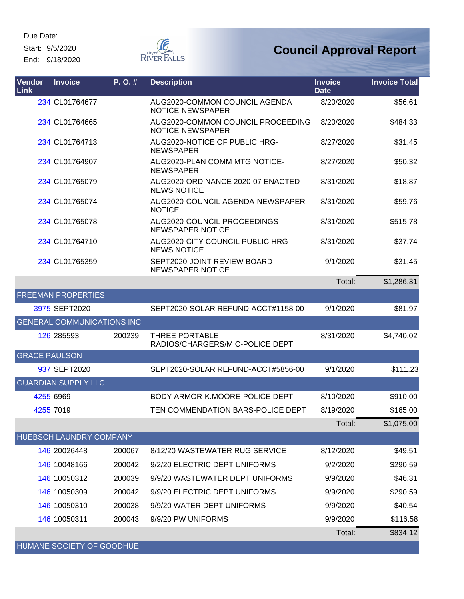Start: 9/5/2020

End: 9/18/2020



# **Council Approval Report**

| Vendor<br>Link       | <b>Invoice</b>                    | P. O. # | <b>Description</b>                                       | <b>Invoice</b><br><b>Date</b> | <b>Invoice Total</b> |
|----------------------|-----------------------------------|---------|----------------------------------------------------------|-------------------------------|----------------------|
|                      | 234 CL01764677                    |         | AUG2020-COMMON COUNCIL AGENDA<br>NOTICE-NEWSPAPER        | 8/20/2020                     | \$56.61              |
|                      | 234 CL01764665                    |         | AUG2020-COMMON COUNCIL PROCEEDING<br>NOTICE-NEWSPAPER    | 8/20/2020                     | \$484.33             |
|                      | 234 CL01764713                    |         | AUG2020-NOTICE OF PUBLIC HRG-<br><b>NEWSPAPER</b>        | 8/27/2020                     | \$31.45              |
|                      | 234 CL01764907                    |         | AUG2020-PLAN COMM MTG NOTICE-<br><b>NEWSPAPER</b>        | 8/27/2020                     | \$50.32              |
|                      | 234 CL01765079                    |         | AUG2020-ORDINANCE 2020-07 ENACTED-<br><b>NEWS NOTICE</b> | 8/31/2020                     | \$18.87              |
|                      | 234 CL01765074                    |         | AUG2020-COUNCIL AGENDA-NEWSPAPER<br><b>NOTICE</b>        | 8/31/2020                     | \$59.76              |
|                      | 234 CL01765078                    |         | AUG2020-COUNCIL PROCEEDINGS-<br><b>NEWSPAPER NOTICE</b>  | 8/31/2020                     | \$515.78             |
|                      | 234 CL01764710                    |         | AUG2020-CITY COUNCIL PUBLIC HRG-<br><b>NEWS NOTICE</b>   | 8/31/2020                     | \$37.74              |
|                      | 234 CL01765359                    |         | SEPT2020-JOINT REVIEW BOARD-<br><b>NEWSPAPER NOTICE</b>  | 9/1/2020                      | \$31.45              |
|                      |                                   |         |                                                          | Total:                        | \$1,286.31           |
|                      | <b>FREEMAN PROPERTIES</b>         |         |                                                          |                               |                      |
|                      | 3975 SEPT2020                     |         | SEPT2020-SOLAR REFUND-ACCT#1158-00                       | 9/1/2020                      | \$81.97              |
|                      | <b>GENERAL COMMUNICATIONS INC</b> |         |                                                          |                               |                      |
|                      | 126 285593                        | 200239  | THREE PORTABLE<br>RADIOS/CHARGERS/MIC-POLICE DEPT        | 8/31/2020                     | \$4,740.02           |
| <b>GRACE PAULSON</b> |                                   |         |                                                          |                               |                      |
|                      | 937 SEPT2020                      |         | SEPT2020-SOLAR REFUND-ACCT#5856-00                       | 9/1/2020                      | \$111.23             |
|                      | <b>GUARDIAN SUPPLY LLC</b>        |         |                                                          |                               |                      |
| 4255 6969            |                                   |         | BODY ARMOR-K, MOORE-POLICE DEPT                          | 8/10/2020                     | \$910.00             |
| 4255 7019            |                                   |         | TEN COMMENDATION BARS-POLICE DEPT                        | 8/19/2020                     | \$165.00             |
|                      |                                   |         |                                                          | Total:                        | \$1,075.00           |
|                      | HUEBSCH LAUNDRY COMPANY           |         |                                                          |                               |                      |
|                      | 146 20026448                      | 200067  | 8/12/20 WASTEWATER RUG SERVICE                           | 8/12/2020                     | \$49.51              |
|                      | 146 10048166                      | 200042  | 9/2/20 ELECTRIC DEPT UNIFORMS                            | 9/2/2020                      | \$290.59             |
|                      | 146 10050312                      | 200039  | 9/9/20 WASTEWATER DEPT UNIFORMS                          | 9/9/2020                      | \$46.31              |
|                      | 146 10050309                      | 200042  | 9/9/20 ELECTRIC DEPT UNIFORMS                            | 9/9/2020                      | \$290.59             |
|                      | 146 10050310                      | 200038  | 9/9/20 WATER DEPT UNIFORMS                               | 9/9/2020                      | \$40.54              |
|                      | 146 10050311                      | 200043  | 9/9/20 PW UNIFORMS                                       | 9/9/2020                      | \$116.58             |
|                      |                                   |         |                                                          | Total:                        | \$834.12             |

HUMANE SOCIETY OF GOODHUE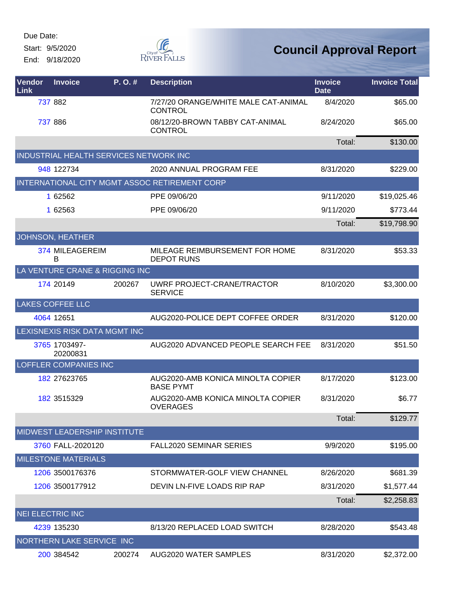Start: 9/5/2020

End: 9/18/2020



| Vendor<br>Link          | <b>Invoice</b>                         | P.O.#  | <b>Description</b>                                     | <b>Invoice</b><br><b>Date</b> | <b>Invoice Total</b> |
|-------------------------|----------------------------------------|--------|--------------------------------------------------------|-------------------------------|----------------------|
|                         | 737 882                                |        | 7/27/20 ORANGE/WHITE MALE CAT-ANIMAL<br><b>CONTROL</b> | 8/4/2020                      | \$65.00              |
|                         | 737 886                                |        | 08/12/20-BROWN TABBY CAT-ANIMAL<br><b>CONTROL</b>      | 8/24/2020                     | \$65.00              |
|                         |                                        |        |                                                        | Total:                        | \$130.00             |
|                         | INDUSTRIAL HEALTH SERVICES NETWORK INC |        |                                                        |                               |                      |
|                         | 948 122734                             |        | 2020 ANNUAL PROGRAM FEE                                | 8/31/2020                     | \$229.00             |
|                         |                                        |        | INTERNATIONAL CITY MGMT ASSOC RETIREMENT CORP          |                               |                      |
|                         | 1 62562                                |        | PPE 09/06/20                                           | 9/11/2020                     | \$19,025.46          |
|                         | 1 62563                                |        | PPE 09/06/20                                           | 9/11/2020                     | \$773.44             |
|                         |                                        |        |                                                        | Total:                        | \$19,798.90          |
|                         | JOHNSON, HEATHER                       |        |                                                        |                               |                      |
|                         | 374 MILEAGEREIM<br>B                   |        | MILEAGE REIMBURSEMENT FOR HOME<br><b>DEPOT RUNS</b>    | 8/31/2020                     | \$53.33              |
|                         | LA VENTURE CRANE & RIGGING INC         |        |                                                        |                               |                      |
|                         | 174 20149                              | 200267 | UWRF PROJECT-CRANE/TRACTOR<br><b>SERVICE</b>           | 8/10/2020                     | \$3,300.00           |
|                         | <b>LAKES COFFEE LLC</b>                |        |                                                        |                               |                      |
|                         | 4064 12651                             |        | AUG2020-POLICE DEPT COFFEE ORDER                       | 8/31/2020                     | \$120.00             |
|                         | LEXISNEXIS RISK DATA MGMT INC          |        |                                                        |                               |                      |
|                         | 3765 1703497-<br>20200831              |        | AUG2020 ADVANCED PEOPLE SEARCH FEE                     | 8/31/2020                     | \$51.50              |
|                         | <b>LOFFLER COMPANIES INC</b>           |        |                                                        |                               |                      |
|                         | 182 27623765                           |        | AUG2020-AMB KONICA MINOLTA COPIER<br><b>BASE PYMT</b>  | 8/17/2020                     | \$123.00             |
|                         | 182 3515329                            |        | AUG2020-AMB KONICA MINOLTA COPIER<br><b>OVERAGES</b>   | 8/31/2020                     | \$6.77               |
|                         |                                        |        |                                                        | Total:                        | \$129.77             |
|                         | MIDWEST LEADERSHIP INSTITUTE           |        |                                                        |                               |                      |
|                         | 3760 FALL-2020120                      |        | <b>FALL2020 SEMINAR SERIES</b>                         | 9/9/2020                      | \$195.00             |
|                         | <b>MILESTONE MATERIALS</b>             |        |                                                        |                               |                      |
|                         | 1206 3500176376                        |        | STORMWATER-GOLF VIEW CHANNEL                           | 8/26/2020                     | \$681.39             |
|                         | 1206 3500177912                        |        | DEVIN LN-FIVE LOADS RIP RAP                            | 8/31/2020                     | \$1,577.44           |
|                         |                                        |        |                                                        | Total:                        | \$2,258.83           |
| <b>NEI ELECTRIC INC</b> |                                        |        |                                                        |                               |                      |
|                         | 4239 135230                            |        | 8/13/20 REPLACED LOAD SWITCH                           | 8/28/2020                     | \$543.48             |
|                         | NORTHERN LAKE SERVICE INC              |        |                                                        |                               |                      |
|                         | 200 384542                             | 200274 | AUG2020 WATER SAMPLES                                  | 8/31/2020                     | \$2,372.00           |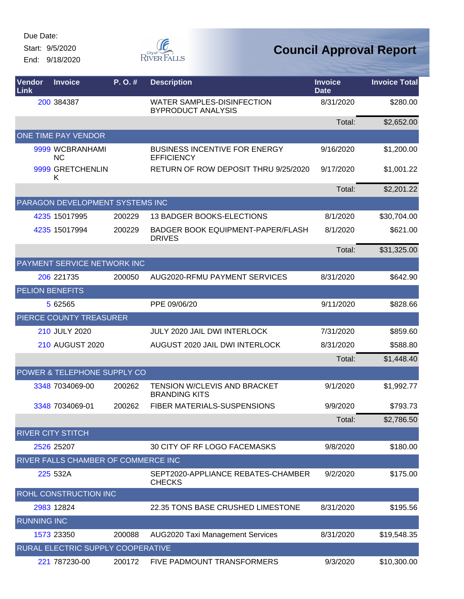Start: 9/5/2020 End: 9/18/2020



| Vendor<br>Link     | <b>Invoice</b>                      | P. O. # | <b>Description</b>                                             | <b>Invoice</b><br><b>Date</b> | <b>Invoice Total</b> |
|--------------------|-------------------------------------|---------|----------------------------------------------------------------|-------------------------------|----------------------|
|                    | 200 384387                          |         | <b>WATER SAMPLES-DISINFECTION</b><br><b>BYPRODUCT ANALYSIS</b> | 8/31/2020                     | \$280.00             |
|                    |                                     |         |                                                                | Total:                        | \$2,652.00           |
|                    | ONE TIME PAY VENDOR                 |         |                                                                |                               |                      |
|                    | 9999 WCBRANHAMI<br><b>NC</b>        |         | <b>BUSINESS INCENTIVE FOR ENERGY</b><br><b>EFFICIENCY</b>      | 9/16/2020                     | \$1,200.00           |
|                    | 9999 GRETCHENLIN<br>K               |         | RETURN OF ROW DEPOSIT THRU 9/25/2020                           | 9/17/2020                     | \$1,001.22           |
|                    |                                     |         |                                                                | Total:                        | \$2,201.22           |
|                    | PARAGON DEVELOPMENT SYSTEMS INC     |         |                                                                |                               |                      |
|                    | 4235 15017995                       | 200229  | 13 BADGER BOOKS-ELECTIONS                                      | 8/1/2020                      | \$30,704.00          |
|                    | 4235 15017994                       | 200229  | BADGER BOOK EQUIPMENT-PAPER/FLASH<br><b>DRIVES</b>             | 8/1/2020                      | \$621.00             |
|                    |                                     |         |                                                                | Total:                        | \$31,325.00          |
|                    | PAYMENT SERVICE NETWORK INC         |         |                                                                |                               |                      |
|                    | 206 221735                          | 200050  | AUG2020-RFMU PAYMENT SERVICES                                  | 8/31/2020                     | \$642.90             |
|                    | <b>PELION BENEFITS</b>              |         |                                                                |                               |                      |
|                    | 5 62565                             |         | PPE 09/06/20                                                   | 9/11/2020                     | \$828.66             |
|                    | PIERCE COUNTY TREASURER             |         |                                                                |                               |                      |
|                    | 210 JULY 2020                       |         | <b>JULY 2020 JAIL DWI INTERLOCK</b>                            | 7/31/2020                     | \$859.60             |
|                    | <b>210 AUGUST 2020</b>              |         | AUGUST 2020 JAIL DWI INTERLOCK                                 | 8/31/2020                     | \$588.80             |
|                    |                                     |         |                                                                | Total:                        | \$1,448.40           |
|                    | POWER & TELEPHONE SUPPLY CO         |         |                                                                |                               |                      |
|                    | 3348 7034069-00                     | 200262  | TENSION W/CLEVIS AND BRACKET<br><b>BRANDING KITS</b>           | 9/1/2020                      | \$1,992.77           |
|                    | 3348 7034069-01                     | 200262  | <b>FIBER MATERIALS-SUSPENSIONS</b>                             | 9/9/2020                      | \$793.73             |
|                    |                                     |         |                                                                | Total:                        | \$2,786.50           |
|                    | <b>RIVER CITY STITCH</b>            |         |                                                                |                               |                      |
|                    | 2526 25207                          |         | 30 CITY OF RF LOGO FACEMASKS                                   | 9/8/2020                      | \$180.00             |
|                    | RIVER FALLS CHAMBER OF COMMERCE INC |         |                                                                |                               |                      |
|                    | 225 532A                            |         | SEPT2020-APPLIANCE REBATES-CHAMBER<br><b>CHECKS</b>            | 9/2/2020                      | \$175.00             |
|                    | ROHL CONSTRUCTION INC               |         |                                                                |                               |                      |
|                    | 2983 12824                          |         | 22.35 TONS BASE CRUSHED LIMESTONE                              | 8/31/2020                     | \$195.56             |
| <b>RUNNING INC</b> |                                     |         |                                                                |                               |                      |
|                    | 1573 23350                          | 200088  | <b>AUG2020 Taxi Management Services</b>                        | 8/31/2020                     | \$19,548.35          |
|                    | RURAL ELECTRIC SUPPLY COOPERATIVE   |         |                                                                |                               |                      |
|                    | 221 787230-00                       | 200172  | FIVE PADMOUNT TRANSFORMERS                                     | 9/3/2020                      | \$10,300.00          |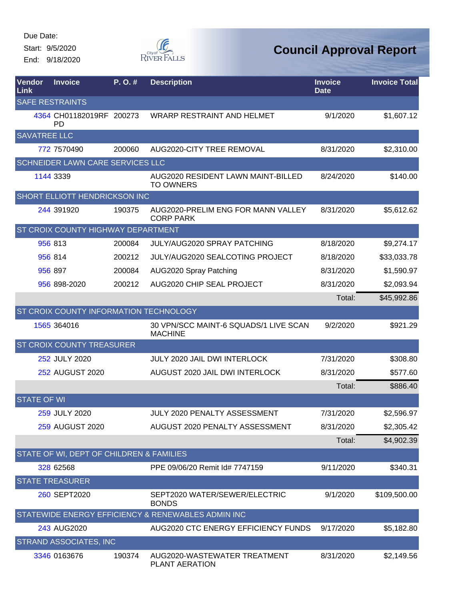Start: 9/5/2020

End: 9/18/2020



| Vendor<br>Link      | <b>Invoice</b>                            | P.O.#  | <b>Description</b>                                      | <b>Invoice</b><br><b>Date</b> | <b>Invoice Total</b> |
|---------------------|-------------------------------------------|--------|---------------------------------------------------------|-------------------------------|----------------------|
|                     | <b>SAFE RESTRAINTS</b>                    |        |                                                         |                               |                      |
|                     | 4364 CH01182019RF 200273<br><b>PD</b>     |        | <b>WRARP RESTRAINT AND HELMET</b>                       | 9/1/2020                      | \$1,607.12           |
| <b>SAVATREE LLC</b> |                                           |        |                                                         |                               |                      |
|                     | 772 7570490                               | 200060 | AUG2020-CITY TREE REMOVAL                               | 8/31/2020                     | \$2,310.00           |
|                     | SCHNEIDER LAWN CARE SERVICES LLC          |        |                                                         |                               |                      |
|                     | 1144 3339                                 |        | AUG2020 RESIDENT LAWN MAINT-BILLED<br><b>TO OWNERS</b>  | 8/24/2020                     | \$140.00             |
|                     | SHORT ELLIOTT HENDRICKSON INC             |        |                                                         |                               |                      |
|                     | 244 391920                                | 190375 | AUG2020-PRELIM ENG FOR MANN VALLEY<br><b>CORP PARK</b>  | 8/31/2020                     | \$5,612.62           |
|                     | <b>ST CROIX COUNTY HIGHWAY DEPARTMENT</b> |        |                                                         |                               |                      |
|                     | 956 813                                   | 200084 | <b>JULY/AUG2020 SPRAY PATCHING</b>                      | 8/18/2020                     | \$9,274.17           |
|                     | 956 814                                   | 200212 | JULY/AUG2020 SEALCOTING PROJECT                         | 8/18/2020                     | \$33,033.78          |
|                     | 956 897                                   | 200084 | AUG2020 Spray Patching                                  | 8/31/2020                     | \$1,590.97           |
|                     | 956 898-2020                              | 200212 | AUG2020 CHIP SEAL PROJECT                               | 8/31/2020                     | \$2,093.94           |
|                     |                                           |        |                                                         | Total:                        | \$45,992.86          |
|                     | ST CROIX COUNTY INFORMATION TECHNOLOGY    |        |                                                         |                               |                      |
|                     | 1565 364016                               |        | 30 VPN/SCC MAINT-6 SQUADS/1 LIVE SCAN<br><b>MACHINE</b> | 9/2/2020                      | \$921.29             |
|                     | ST CROIX COUNTY TREASURER                 |        |                                                         |                               |                      |
|                     | 252 JULY 2020                             |        | <b>JULY 2020 JAIL DWI INTERLOCK</b>                     | 7/31/2020                     | \$308.80             |
|                     | 252 AUGUST 2020                           |        | AUGUST 2020 JAIL DWI INTERLOCK                          | 8/31/2020                     | \$577.60             |
|                     |                                           |        |                                                         | Total:                        | \$886.40             |
| <b>STATE OF WI</b>  |                                           |        |                                                         |                               |                      |
|                     | 259 JULY 2020                             |        | JULY 2020 PENALTY ASSESSMENT                            | 7/31/2020                     | \$2,596.97           |
|                     | 259 AUGUST 2020                           |        | AUGUST 2020 PENALTY ASSESSMENT                          | 8/31/2020                     | \$2,305.42           |
|                     |                                           |        |                                                         | Total:                        | \$4,902.39           |
|                     | STATE OF WI, DEPT OF CHILDREN & FAMILIES  |        |                                                         |                               |                      |
|                     | 328 62568                                 |        | PPE 09/06/20 Remit Id# 7747159                          | 9/11/2020                     | \$340.31             |
|                     | <b>STATE TREASURER</b>                    |        |                                                         |                               |                      |
|                     | 260 SEPT2020                              |        | SEPT2020 WATER/SEWER/ELECTRIC<br><b>BONDS</b>           | 9/1/2020                      | \$109,500.00         |
|                     |                                           |        | STATEWIDE ENERGY EFFICIENCY & RENEWABLES ADMIN INC      |                               |                      |
|                     | 243 AUG2020                               |        | AUG2020 CTC ENERGY EFFICIENCY FUNDS                     | 9/17/2020                     | \$5,182.80           |
|                     | STRAND ASSOCIATES, INC                    |        |                                                         |                               |                      |
|                     | 3346 0163676                              | 190374 | AUG2020-WASTEWATER TREATMENT<br>PLANT AERATION          | 8/31/2020                     | \$2,149.56           |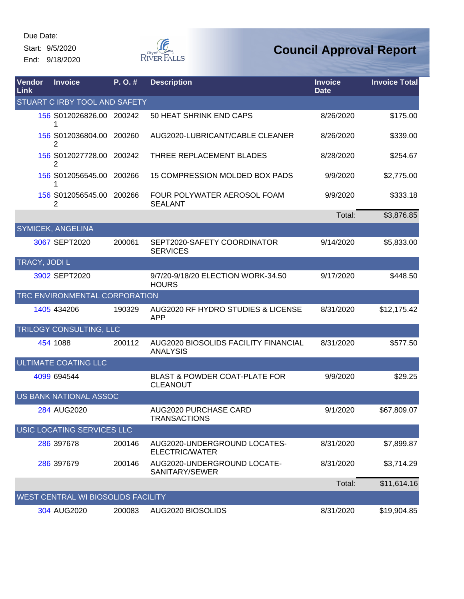Start: 9/5/2020 End: 9/18/2020



| Vendor<br>Link      | <b>Invoice</b>                     | P.O.#  | <b>Description</b>                                          | <b>Invoice</b><br><b>Date</b> | <b>Invoice Total</b> |
|---------------------|------------------------------------|--------|-------------------------------------------------------------|-------------------------------|----------------------|
|                     | STUART C IRBY TOOL AND SAFETY      |        |                                                             |                               |                      |
|                     | 156 S012026826.00 200242           |        | 50 HEAT SHRINK END CAPS                                     | 8/26/2020                     | \$175.00             |
|                     | 156 S012036804.00 200260<br>2      |        | AUG2020-LUBRICANT/CABLE CLEANER                             | 8/26/2020                     | \$339.00             |
|                     | 156 S012027728.00 200242<br>2      |        | THREE REPLACEMENT BLADES                                    | 8/28/2020                     | \$254.67             |
|                     | 156 S012056545.00                  | 200266 | 15 COMPRESSION MOLDED BOX PADS                              | 9/9/2020                      | \$2,775.00           |
|                     | 156 S012056545.00<br>2             | 200266 | FOUR POLYWATER AEROSOL FOAM<br><b>SEALANT</b>               | 9/9/2020                      | \$333.18             |
|                     |                                    |        |                                                             | Total:                        | \$3,876.85           |
|                     | <b>SYMICEK, ANGELINA</b>           |        |                                                             |                               |                      |
|                     | 3067 SEPT2020                      | 200061 | SEPT2020-SAFETY COORDINATOR<br><b>SERVICES</b>              | 9/14/2020                     | \$5,833.00           |
| <b>TRACY, JODIL</b> |                                    |        |                                                             |                               |                      |
|                     | 3902 SEPT2020                      |        | 9/7/20-9/18/20 ELECTION WORK-34.50<br><b>HOURS</b>          | 9/17/2020                     | \$448.50             |
|                     | TRC ENVIRONMENTAL CORPORATION      |        |                                                             |                               |                      |
|                     | 1405 434206                        | 190329 | AUG2020 RF HYDRO STUDIES & LICENSE<br><b>APP</b>            | 8/31/2020                     | \$12,175.42          |
|                     | <b>TRILOGY CONSULTING, LLC</b>     |        |                                                             |                               |                      |
|                     | 454 1088                           | 200112 | AUG2020 BIOSOLIDS FACILITY FINANCIAL<br><b>ANALYSIS</b>     | 8/31/2020                     | \$577.50             |
|                     | <b>ULTIMATE COATING LLC</b>        |        |                                                             |                               |                      |
|                     | 4099 694544                        |        | <b>BLAST &amp; POWDER COAT-PLATE FOR</b><br><b>CLEANOUT</b> | 9/9/2020                      | \$29.25              |
|                     | US BANK NATIONAL ASSOC             |        |                                                             |                               |                      |
|                     | 284 AUG2020                        |        | AUG2020 PURCHASE CARD<br><b>TRANSACTIONS</b>                | 9/1/2020                      | \$67,809.07          |
|                     | USIC LOCATING SERVICES LLC         |        |                                                             |                               |                      |
|                     | 286 397678                         | 200146 | AUG2020-UNDERGROUND LOCATES-<br>ELECTRIC/WATER              | 8/31/2020                     | \$7,899.87           |
|                     | 286 397679                         | 200146 | AUG2020-UNDERGROUND LOCATE-<br>SANITARY/SEWER               | 8/31/2020                     | \$3,714.29           |
|                     |                                    |        |                                                             | Total:                        | \$11,614.16          |
|                     | WEST CENTRAL WI BIOSOLIDS FACILITY |        |                                                             |                               |                      |
|                     | 304 AUG2020                        | 200083 | AUG2020 BIOSOLIDS                                           | 8/31/2020                     | \$19,904.85          |